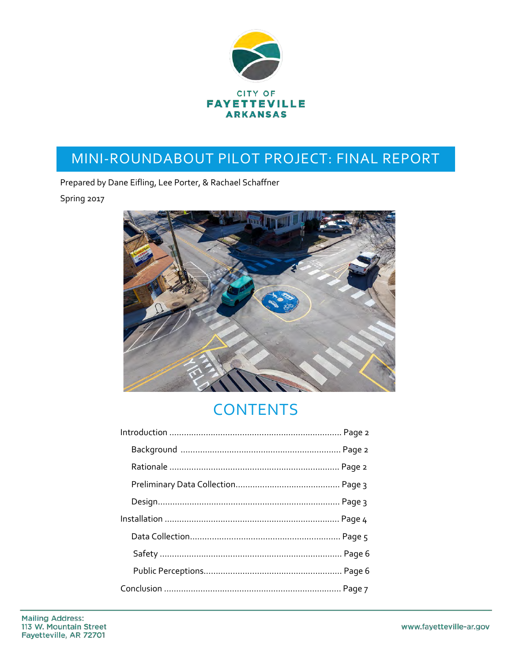

# MINI-ROUNDABOUT PILOT PROJECT: FINAL REPORT

Prepared by Dane Eifling, Lee Porter, & Rachael Schaffner

Spring 2017



# **CONTENTS**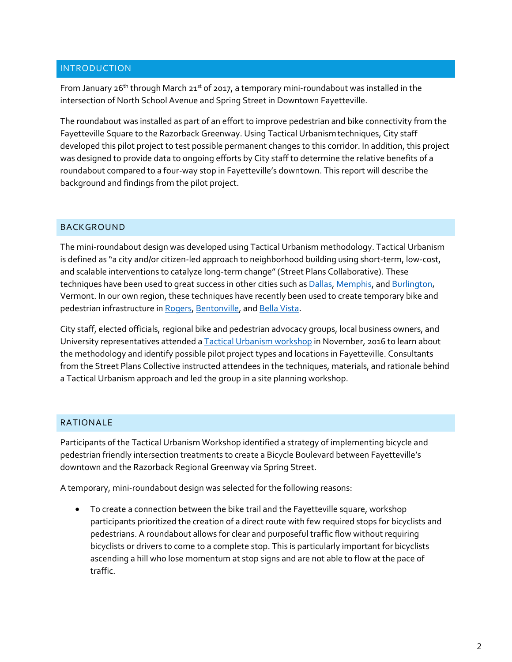#### INTRODUCTION

From January 26<sup>th</sup> through March 21<sup>st</sup> of 2017, a temporary mini-roundabout was installed in the intersection of North School Avenue and Spring Street in Downtown Fayetteville.

The roundabout was installed as part of an effort to improve pedestrian and bike connectivity from the Fayetteville Square to the Razorback Greenway. Using Tactical Urbanismtechniques, City staff developed this pilot project to test possible permanent changes to this corridor. In addition, this project was designed to provide data to ongoing efforts by City staff to determine the relative benefits of a roundabout compared to a four-way stop in Fayetteville's downtown. This report will describe the background and findings from the pilot project.

#### BACKGROUND

The mini-roundabout design was developed using Tactical Urbanism methodology. Tactical Urbanism is defined as "a city and/or citizen-led approach to neighborhood building using short-term, low-cost, and scalable interventions to catalyze long-term change" (Street Plans Collaborative). These techniques have been used to great success in other cities such a[s Dallas,](https://nextcity.org/features/view/how-one-weekend-in-dallas-sparked-a-movement-for-urban-change) [Memphis,](http://memfix.org/) and [Burlington,](https://www.burlingtonvt.gov/sites/default/files/DPW/TacticalUrbanism/Burlington_TUPolicy_05-11-16.pdf) Vermont. In our own region, these techniques have recently been used to create temporary bike and pedestrian infrastructure i[n Rogers,](http://5newsonline.com/2016/11/03/rogers-installs-temporary-protected-bike-lanes/) [Bentonville,](http://blog.waltonfamilyfoundation.org/2016/november/designing-streets-that-move-people) an[d Bella Vista.](http://5newsonline.com/2016/10/28/bella-vista-adds-temporary-bike-lanes-near-razorback-greenway/)

City staff, elected officials, regional bike and pedestrian advocacy groups, local business owners, and University representatives attended [a Tactical Urbanism workshop](https://www.pressreader.com/usa/northwest-arkansas-democrat-gazette/20161118/282046211686943) in November, 2016 to learn about the methodology and identify possible pilot project types and locations in Fayetteville. Consultants from the Street Plans Collective instructed attendees in the techniques, materials, and rationale behind a Tactical Urbanism approach and led the group in a site planning workshop.

## RATIONALE

Participants of the Tactical Urbanism Workshop identified a strategy of implementing bicycle and pedestrian friendly intersection treatments to create a Bicycle Boulevard between Fayetteville's downtown and the Razorback Regional Greenway via Spring Street.

A temporary, mini-roundabout design was selected for the following reasons:

• To create a connection between the bike trail and the Fayetteville square, workshop participants prioritized the creation of a direct route with few required stops for bicyclists and pedestrians. A roundabout allows for clear and purposeful traffic flow without requiring bicyclists or drivers to come to a complete stop. This is particularly important for bicyclists ascending a hill who lose momentum at stop signs and are not able to flow at the pace of traffic.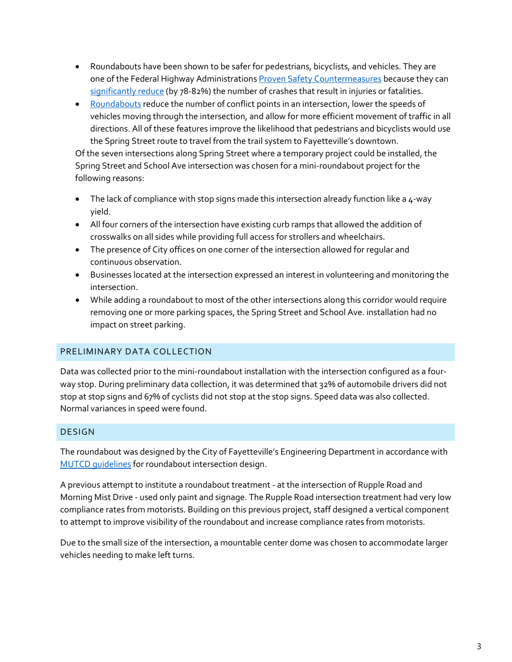- Roundabouts have been shown to be safer for pedestrians, bicyclists, and vehicles. They are one of the Federal Highway Administration[s Proven Safety Countermeasures](https://safety.fhwa.dot.gov/provencountermeasures/) because they can [significantly reduce](https://safety.fhwa.dot.gov/intersection/innovative/roundabouts/) (by 78-82%) the number of crashes that result in injuries or fatalities.
- [Roundabouts](https://safety.fhwa.dot.gov/intersection/innovative/roundabouts/fhwasa08006/) reduce the number of conflict points in an intersection, lower the speeds of vehicles moving through the intersection, and allow for more efficient movement of traffic in all directions. All of these features improve the likelihood that pedestrians and bicyclists would use the Spring Street route to travel from the trail system to Fayetteville's downtown.

Of the seven intersections along Spring Street where a temporary project could be installed, the Spring Street and School Ave intersection was chosen for a mini-roundabout project for the following reasons:

- The lack of compliance with stop signs made this intersection already function like a  $4$ -way yield.
- All four corners of the intersection have existing curb ramps that allowed the addition of crosswalks on all sides while providing full access for strollers and wheelchairs.
- The presence of City offices on one corner of the intersection allowed for regular and continuous observation.
- Businesses located at the intersection expressed an interest in volunteering and monitoring the intersection.
- While adding a roundabout to most of the other intersections along this corridor would require removing one or more parking spaces, the Spring Street and School Ave. installation had no impact on street parking.

## PRELIMINARY DATA COLLECTION

Data was collected prior to the mini-roundabout installation with the intersection configured as a fourway stop. During preliminary data collection, it was determined that 32% of automobile drivers did not stop at stop signs and 67% of cyclists did not stop at the stop signs. Speed data was also collected. Normal variances in speed were found.

## DESIGN

The roundabout was designed by the City of Fayetteville's Engineering Department in accordance with [MUTCD guidelines](https://mutcd.fhwa.dot.gov/htm/2009/part3/part3c.htm) for roundabout intersection design.

A previous attempt to institute a roundabout treatment - at the intersection of Rupple Road and Morning Mist Drive - used only paint and signage. The Rupple Road intersection treatment had very low compliance rates from motorists. Building on this previous project, staff designed a vertical component to attempt to improve visibility of the roundabout and increase compliance rates from motorists.

Due to the small size of the intersection, a mountable center dome was chosen to accommodate larger vehicles needing to make left turns.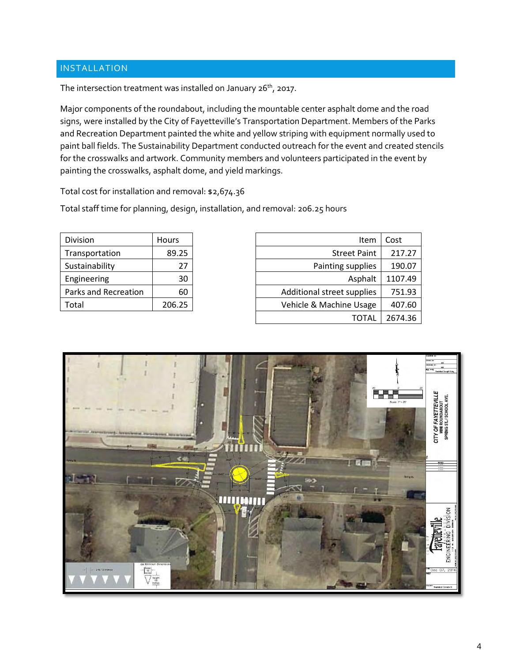# INSTALLATION

The intersection treatment was installed on January  $26^{th}$ , 2017.

Major components of the roundabout, including the mountable center asphalt dome and the road signs, were installed by the City of Fayetteville's Transportation Department. Members of the Parks and Recreation Department painted the white and yellow striping with equipment normally used to paint ball fields. The Sustainability Department conducted outreach for the event and created stencils for the crosswalks and artwork. Community members and volunteers participated in the event by painting the crosswalks, asphalt dome, and yield markings.

Total cost for installation and removal: \$2,674.36

Total staff time for planning, design, installation, and removal: 206.25 hours

| Division             | Hours  |  |
|----------------------|--------|--|
| Transportation       | 89.25  |  |
| Sustainability       | 27     |  |
| Engineering          | 30     |  |
| Parks and Recreation | 60     |  |
| Total                | 206.25 |  |

| Division             | <b>Hours</b> | Item                       | Cost    |
|----------------------|--------------|----------------------------|---------|
| Transportation       | 89.25        | <b>Street Paint</b>        | 217.27  |
| Sustainability       | 27           | Painting supplies          | 190.07  |
| Engineering          | 30           | Asphalt                    | 1107.49 |
| Parks and Recreation | 60           | Additional street supplies | 751.93  |
| Total                | 206.25       | Vehicle & Machine Usage    | 407.60  |
|                      |              | TOTAL                      | 2674.36 |

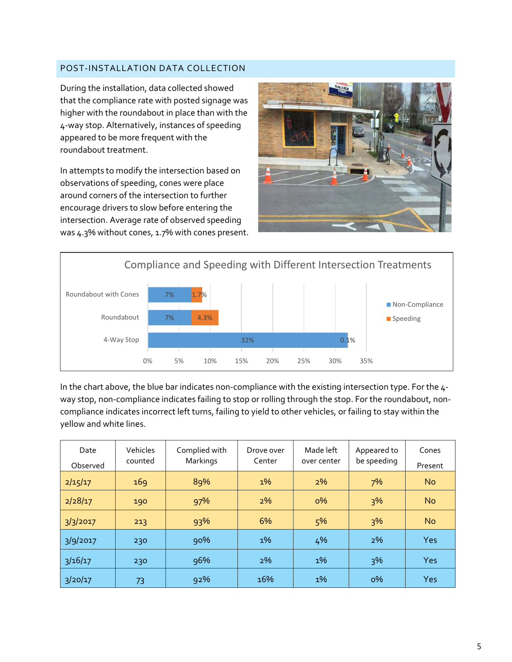## POST-INSTALLATION DATA COLLECTION

During the installation, data collected showed that the compliance rate with posted signage was higher with the roundabout in place than with the 4-way stop. Alternatively, instances of speeding appeared to be more frequent with the roundabout treatment.

In attempts to modify the intersection based on observations of speeding, cones were place around corners of the intersection to further encourage drivers to slow before entering the intersection. Average rate of observed speeding was 4.3% without cones, 1.7% with cones present.





In the chart above, the blue bar indicates non-compliance with the existing intersection type. For the 4 way stop, non-compliance indicates failing to stop or rolling through the stop. For the roundabout, noncompliance indicates incorrect left turns, failing to yield to other vehicles, or failing to stay within the yellow and white lines.

| Date<br>Observed | Vehicles<br>counted | Complied with<br>Markings | Drove over<br>Center | Made left<br>over center | Appeared to<br>be speeding | Cones<br>Present |
|------------------|---------------------|---------------------------|----------------------|--------------------------|----------------------------|------------------|
| 2/15/17          | 169                 | 89%                       | $1\%$                | $2\%$                    | 7%                         | <b>No</b>        |
| 2/28/17          | 190                 | 97%                       | 2%                   | $0\%$                    | 3%                         | <b>No</b>        |
| 3/3/2017         | 213                 | 93%                       | 6%                   | 5%                       | 3%                         | <b>No</b>        |
| 3/9/2017         | 230                 | 90%                       | $1\%$                | 4%                       | 2%                         | Yes              |
| 3/16/17          | 230                 | 96%                       | 2%                   | $1\%$                    | 3%                         | Yes              |
| 3/20/17          | 73                  | 92%                       | 16%                  | $1\%$                    | $0\%$                      | Yes              |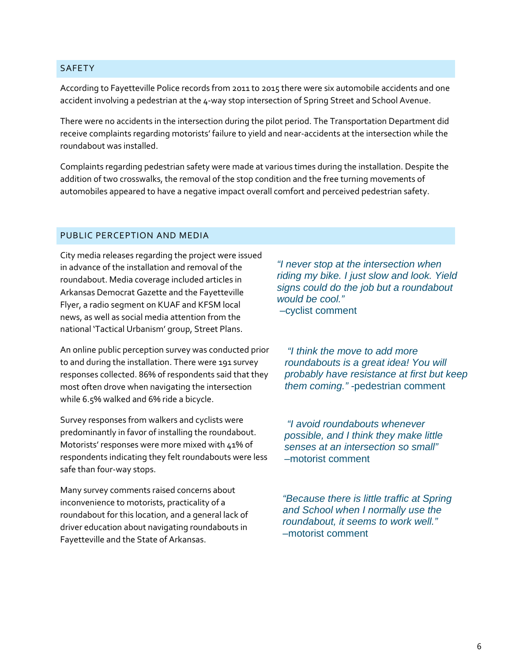#### **SAFETY**

According to Fayetteville Police records from 2011 to 2015 there were six automobile accidents and one accident involving a pedestrian at the 4-way stop intersection of Spring Street and School Avenue.

There were no accidents in the intersection during the pilot period. The Transportation Department did receive complaints regarding motorists' failure to yield and near-accidents at the intersection while the roundabout was installed.

Complaints regarding pedestrian safety were made at various times during the installation. Despite the addition of two crosswalks, the removal of the stop condition and the free turning movements of automobiles appeared to have a negative impact overall comfort and perceived pedestrian safety.

#### PUBLIC PERCEPTION AND MEDIA

City media releases regarding the project were issued in advance of the installation and removal of the roundabout. Media coverage included articles in Arkansas Democrat Gazette and the Fayetteville Flyer, a radio segment on KUAF and KFSM local news, as well as social media attention from the national 'Tactical Urbanism' group, Street Plans.

An online public perception survey was conducted prior to and during the installation. There were 191 survey responses collected. 86% of respondents said that they most often drove when navigating the intersection while 6.5% walked and 6% ride a bicycle.

Survey responses from walkers and cyclists were predominantly in favor of installing the roundabout. Motorists' responses were more mixed with 41% of respondents indicating they felt roundabouts were less safe than four-way stops.

Many survey comments raised concerns about inconvenience to motorists, practicality of a roundabout for this location, and a general lack of driver education about navigating roundabouts in Fayetteville and the State of Arkansas.

*"I never stop at the intersection when riding my bike. I just slow and look. Yield signs could do the job but a roundabout would be cool."*  –cyclist comment

*"I think the move to add more roundabouts is a great idea! You will probably have resistance at first but keep them coming." -*pedestrian comment

*"I avoid roundabouts whenever possible, and I think they make little senses at an intersection so small" –*motorist comment

*"Because there is little traffic at Spring and School when I normally use the roundabout, it seems to work well."*  –motorist comment